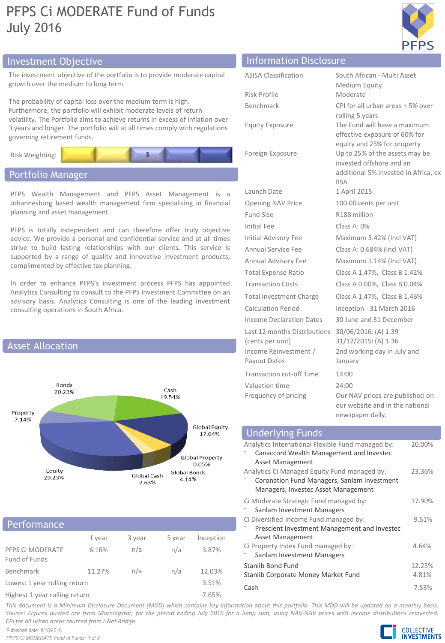# PFPS Ci MODERATE Fund of Funds July 2016



# Investment Objective Information Disclosure

The investment objective of the portfolio is to provide moderate capital growth over the medium to long term.

The probability of capital loss over the medium term is high. Furthermore, the portfolio will exhibit moderate levels of return volatility. The Portfolio aims to achieve returns in excess of inflation over 3 years and longer. The portfolio will at all times comply with regulations governing retirement funds.



## Portfolio Manager

PFPS Wealth Management and PFPS Asset Management is a Johannesburg based wealth management firm specialising in financial planning and asset management.

PFPS is totally independent and can therefore offer truly objective advice. We provide a personal and confidential service and at all times strive to build lasting relationships with our clients. This service is supported by a range of quality and innovative investment products, complimented by effective tax planning.

In order to enhance PFPS's investment process PFPS has appointed Analytics Consulting to consult to the PFPS Investment Committee on an advisory basis. Analytics Consulting is one of the leading investment consulting operations in South Africa.



### Performance

|                                   | 1 year | 3 year | 5 year | Inception |  |
|-----------------------------------|--------|--------|--------|-----------|--|
| PFPS CI MODERATE<br>Fund of Funds | 6.16%  | n/a    | n/a    | 3.87%     |  |
| Benchmark                         | 11.27% | n/a    | n/a    | 12.03%    |  |
| Lowest 1 year rolling return      |        |        |        | 3.51%     |  |
| Highest 1 year rolling return     |        |        |        | 7.65%     |  |

| <b>ASISA Classification</b>                      | South African - Multi Asset<br>Medium Equity                                                                     |
|--------------------------------------------------|------------------------------------------------------------------------------------------------------------------|
| Risk Profile                                     | Moderate                                                                                                         |
| Benchmark                                        | CPI for all urban areas + 5% over<br>rolling 5 years                                                             |
| <b>Equity Exposure</b>                           | The Fund will have a maximum<br>effective exposure of 60% for<br>equity and 25% for property                     |
| Foreign Exposure                                 | Up to 25% of the assets may be<br>invested offshore and an<br>additional 5% invested in Africa, ex<br><b>RSA</b> |
| Launch Date                                      | 1 April 2015                                                                                                     |
| <b>Opening NAV Price</b>                         | 100.00 cents per unit                                                                                            |
| Fund Size                                        | R188 million                                                                                                     |
| Initial Fee                                      | Class A: 0%                                                                                                      |
| <b>Initial Advisory Fee</b>                      | Maximum 3.42% (Incl VAT)                                                                                         |
| Annual Service Fee                               | Class A: 0.684% (Incl VAT)                                                                                       |
| Annual Advisory Fee                              | Maximum 1.14% (Incl VAT)                                                                                         |
| <b>Total Expense Ratio</b>                       | Class A 1.47%, Class B 1.42%                                                                                     |
| <b>Transaction Costs</b>                         | Class A 0.00%, Class B 0.04%                                                                                     |
| <b>Total Investment Charge</b>                   | Class A 1.47%, Class B 1.46%                                                                                     |
| <b>Calculation Period</b>                        | Inception - 31 March 2016                                                                                        |
| Income Declaration Dates                         | 30 June and 31 December                                                                                          |
| Last 12 months Distributions<br>(cents per unit) | 30/06/2016: (A) 1.39<br>31/12/2015: (A) 1.36                                                                     |
| Income Reinvestment /<br>Payout Dates            | 2nd working day in July and<br>January                                                                           |
| <b>Transaction cut-off Time</b>                  | 14:00                                                                                                            |
| Valuation time                                   | 24:00                                                                                                            |
| Frequency of pricing                             | Our NAV prices are published on<br>our website and in the national<br>newspaper daily.                           |

| <b>Underlying Funds</b>                                                                                                            |                 |
|------------------------------------------------------------------------------------------------------------------------------------|-----------------|
| Analytics International Flexible Fund managed by:<br>Canaccord Wealth Management and Investec<br>Asset Management                  | 20.00%          |
| Analytics Ci Managed Equity Fund managed by:<br>Coronation Fund Managers, Sanlam Investment<br>Managers, Investec Asset Management | 23.36%          |
| Ci Moderate Strategic Fund managed by:<br>Sanlam Investment Managers                                                               | 17.90%          |
| Ci Diversified Income Fund managed by:<br>Prescient Investment Management and Investec<br>Asset Management                         | 9.51%           |
| Ci Property Index Fund managed by:<br>Sanlam Investment Managers                                                                   | 4.64%           |
| Stanlib Bond Fund<br>Stanlib Corporate Money Market Fund                                                                           | 12.25%<br>4.81% |
| Cash                                                                                                                               | 7.53%           |

This document is a Minimum Disclosure Document (MDD) which contains key information about this portfolio. This MDD will be updated on a monthly basis. Source: Figures quoted are from Morningstar, for the period ending July 2016 for a lump sum, using NAV-NAV prices with income distributions reinvested. *CPI for all urban areas sourced from I-Net Bridge.*

Published date: 8/18/2016 *PFPS Ci MODERATE Fund of Funds: 1 of 2*